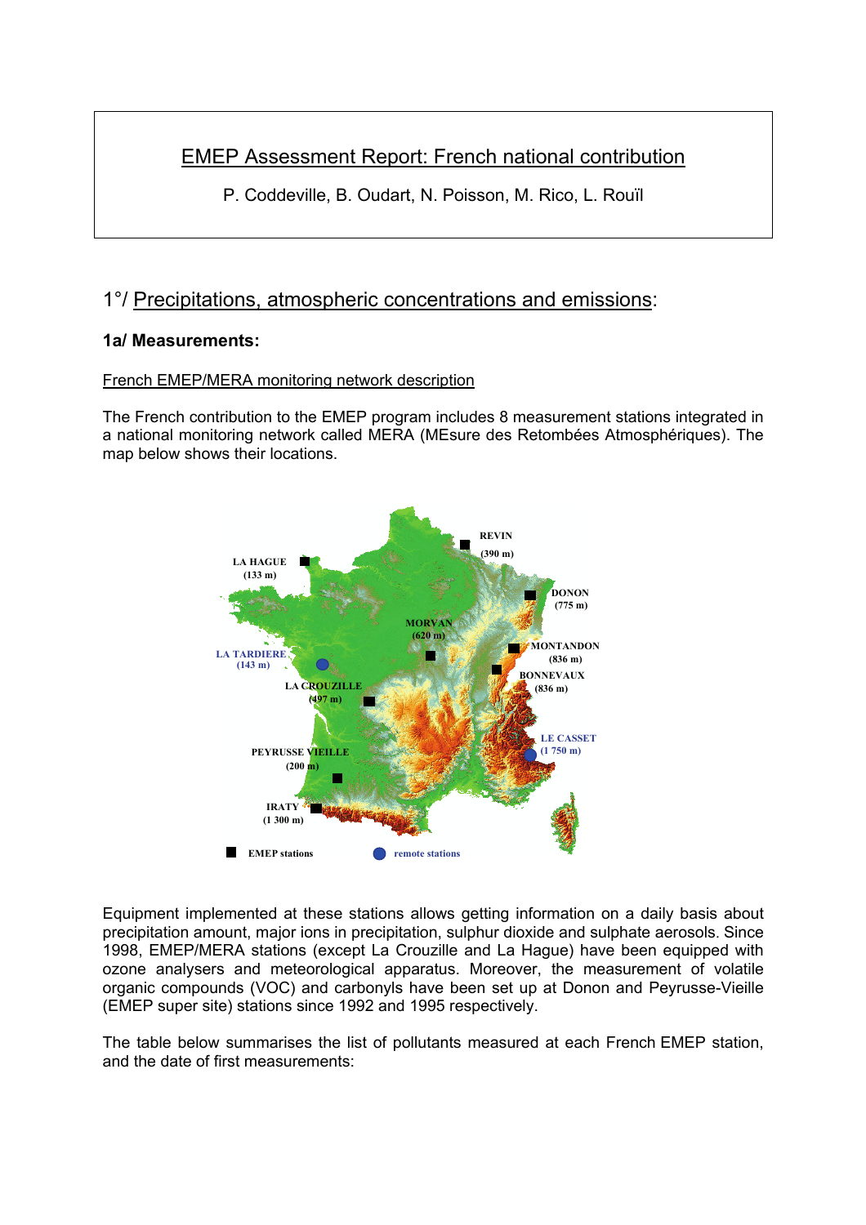# EMEP Assessment Report: French national contribution

P. Coddeville, B. Oudart, N. Poisson, M. Rico, L. Rouïl

# 1°/ Precipitations, atmospheric concentrations and emissions:

# **1a/ Measurements:**

## French EMEP/MERA monitoring network description

The French contribution to the EMEP program includes 8 measurement stations integrated in a national monitoring network called MERA (MEsure des Retombées Atmosphériques). The map below shows their locations.



Equipment implemented at these stations allows getting information on a daily basis about precipitation amount, major ions in precipitation, sulphur dioxide and sulphate aerosols. Since 1998, EMEP/MERA stations (except La Crouzille and La Hague) have been equipped with ozone analysers and meteorological apparatus. Moreover, the measurement of volatile organic compounds (VOC) and carbonyls have been set up at Donon and Peyrusse-Vieille (EMEP super site) stations since 1992 and 1995 respectively.

The table below summarises the list of pollutants measured at each French EMEP station, and the date of first measurements: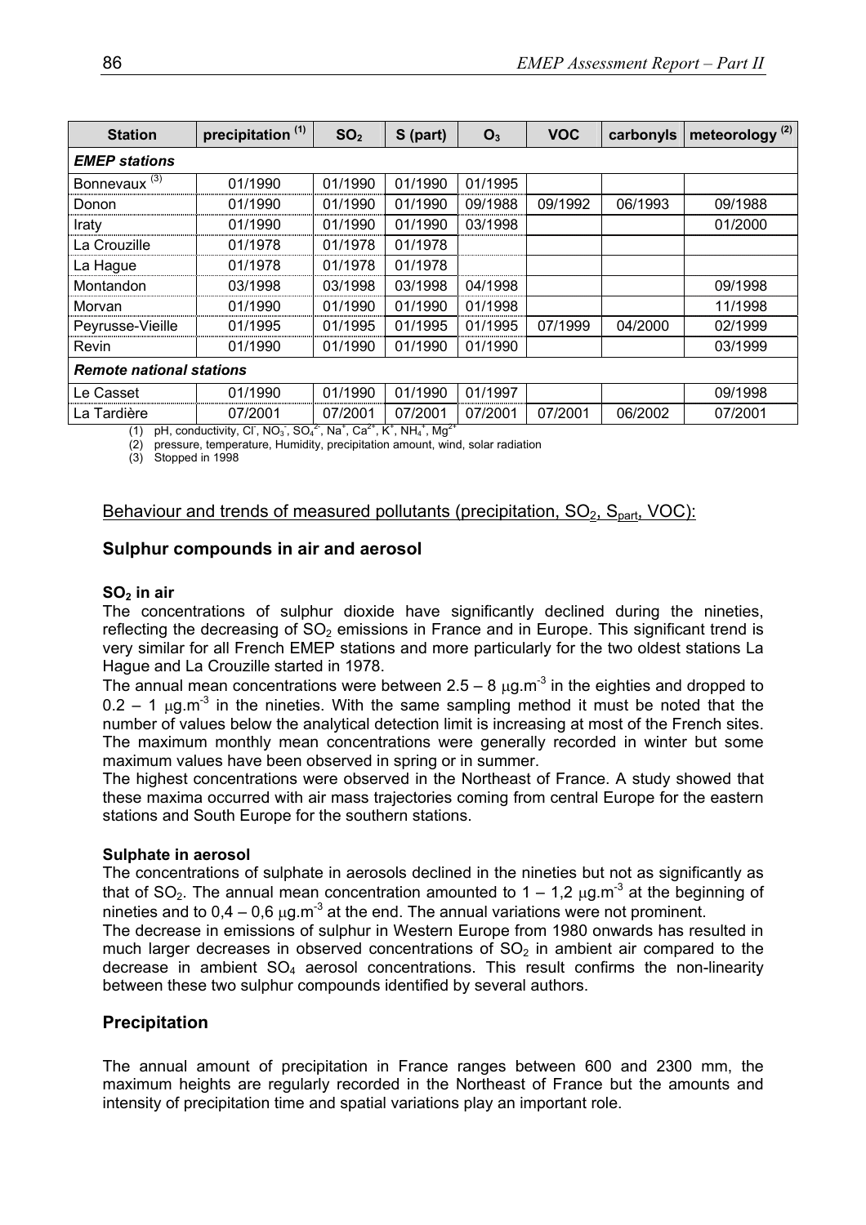| <b>Station</b>                  | precipitation <sup>(1)</sup> | SO <sub>2</sub> | S (part) | O <sub>3</sub> | <b>VOC</b> | carbonyls | meteorology <sup>(2)</sup> |
|---------------------------------|------------------------------|-----------------|----------|----------------|------------|-----------|----------------------------|
| <b>EMEP</b> stations            |                              |                 |          |                |            |           |                            |
| Bonnevaux $(3)$                 | 01/1990                      | 01/1990         | 01/1990  | 01/1995        |            |           |                            |
| Donon                           | 01/1990                      | 01/1990         | 01/1990  | 09/1988        | 09/1992    | 06/1993   | 09/1988                    |
| Iraty                           | 01/1990                      | 01/1990         | 01/1990  | 03/1998        |            |           | 01/2000                    |
| La Crouzille                    | 01/1978                      | 01/1978         | 01/1978  |                |            |           |                            |
| La Hague                        | 01/1978                      | 01/1978         | 01/1978  |                |            |           |                            |
| Montandon                       | 03/1998                      | 03/1998         | 03/1998  | 04/1998        |            |           | 09/1998                    |
| Morvan                          | 01/1990                      | 01/1990         | 01/1990  | 01/1998        |            |           | 11/1998                    |
| Peyrusse-Vieille                | 01/1995                      | 01/1995         | 01/1995  | 01/1995        | 07/1999    | 04/2000   | 02/1999                    |
| Revin                           | 01/1990                      | 01/1990         | 01/1990  | 01/1990        |            |           | 03/1999                    |
| <b>Remote national stations</b> |                              |                 |          |                |            |           |                            |
| Le Casset                       | 01/1990                      | 01/1990         | 01/1990  | 01/1997        |            |           | 09/1998                    |
| La Tardière                     | 07/2001                      | 07/2001         | 07/2001  | 07/2001        | 07/2001    | 06/2002   | 07/2001                    |

(1) pH, conductivity, CI, NO<sub>3</sub>, SO<sub>4</sub><sup>2</sup>, Na<sup>+</sup>, Ca<sup>2+</sup>, K<sup>+</sup>, NH<sub>4</sub><sup>+</sup>, Mg<sup>2+</sup>

(2) pressure, temperature, Humidity, precipitation amount, wind, solar radiation

(3) Stopped in 1998

### Behaviour and trends of measured pollutants (precipitation,  $SO<sub>2</sub>$ ,  $S<sub>part</sub>$ , VOC):

## **Sulphur compounds in air and aerosol**

#### SO<sub>2</sub> in air

The concentrations of sulphur dioxide have significantly declined during the nineties, reflecting the decreasing of  $SO<sub>2</sub>$  emissions in France and in Europe. This significant trend is very similar for all French EMEP stations and more particularly for the two oldest stations La Hague and La Crouzille started in 1978.

The annual mean concentrations were between  $2.5 - 8 \mu g.m^{-3}$  in the eighties and dropped to  $0.2 - 1$   $\mu$ g.m<sup>-3</sup> in the nineties. With the same sampling method it must be noted that the number of values below the analytical detection limit is increasing at most of the French sites. The maximum monthly mean concentrations were generally recorded in winter but some maximum values have been observed in spring or in summer.

The highest concentrations were observed in the Northeast of France. A study showed that these maxima occurred with air mass trajectories coming from central Europe for the eastern stations and South Europe for the southern stations.

#### **Sulphate in aerosol**

The concentrations of sulphate in aerosols declined in the nineties but not as significantly as that of SO<sub>2</sub>. The annual mean concentration amounted to  $1 - 1.2 \mu g.m^{-3}$  at the beginning of nineties and to  $0.4 - 0.6 \mu g.m^{-3}$  at the end. The annual variations were not prominent.

The decrease in emissions of sulphur in Western Europe from 1980 onwards has resulted in much larger decreases in observed concentrations of  $SO<sub>2</sub>$  in ambient air compared to the decrease in ambient  $SO_4$  aerosol concentrations. This result confirms the non-linearity between these two sulphur compounds identified by several authors.

#### **Precipitation**

The annual amount of precipitation in France ranges between 600 and 2300 mm, the maximum heights are regularly recorded in the Northeast of France but the amounts and intensity of precipitation time and spatial variations play an important role.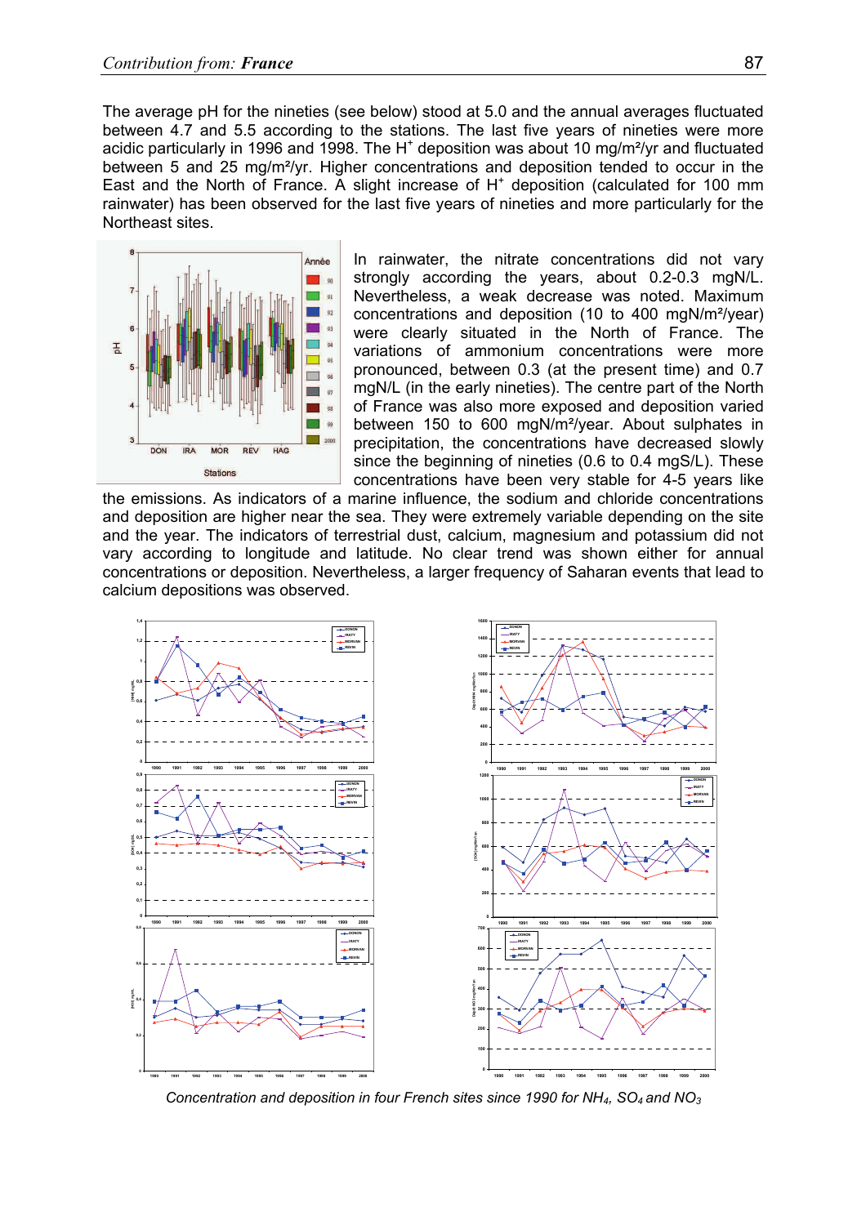The average pH for the nineties (see below) stood at 5.0 and the annual averages fluctuated between 4.7 and 5.5 according to the stations. The last five years of nineties were more acidic particularly in 1996 and 1998. The H<sup>+</sup> deposition was about 10 mg/m<sup>2</sup>/yr and fluctuated between 5 and 25 mg/m<sup>2</sup>/yr. Higher concentrations and deposition tended to occur in the East and the North of France. A slight increase of  $H<sup>+</sup>$  deposition (calculated for 100 mm rainwater) has been observed for the last five years of nineties and more particularly for the Northeast sites.



In rainwater, the nitrate concentrations did not vary strongly according the years, about 0.2-0.3 mgN/L. Nevertheless, a weak decrease was noted. Maximum concentrations and deposition (10 to 400 mgN/m²/year) were clearly situated in the North of France. The variations of ammonium concentrations were more pronounced, between 0.3 (at the present time) and 0.7 mgN/L (in the early nineties). The centre part of the North of France was also more exposed and deposition varied between 150 to 600 mgN/m²/year. About sulphates in precipitation, the concentrations have decreased slowly since the beginning of nineties (0.6 to 0.4 mgS/L). These concentrations have been very stable for 4-5 years like

the emissions. As indicators of a marine influence, the sodium and chloride concentrations and deposition are higher near the sea. They were extremely variable depending on the site and the year. The indicators of terrestrial dust, calcium, magnesium and potassium did not vary according to longitude and latitude. No clear trend was shown either for annual concentrations or deposition. Nevertheless, a larger frequency of Saharan events that lead to calcium depositions was observed.



*Concentration and deposition in four French sites since 1990 for NH4, SO4 and NO3*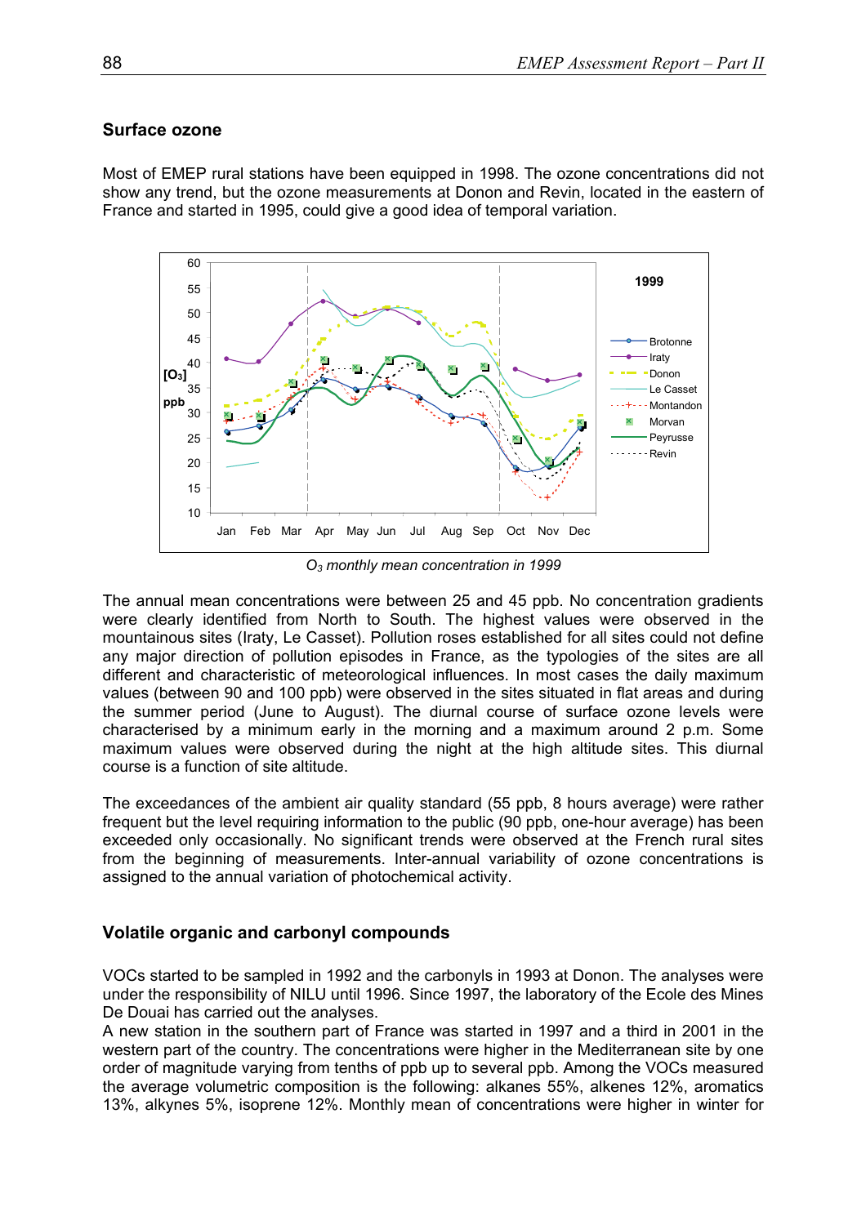## **Surface ozone**

Most of EMEP rural stations have been equipped in 1998. The ozone concentrations did not show any trend, but the ozone measurements at Donon and Revin, located in the eastern of France and started in 1995, could give a good idea of temporal variation.



*O3 monthly mean concentration in 1999* 

The annual mean concentrations were between 25 and 45 ppb. No concentration gradients were clearly identified from North to South. The highest values were observed in the mountainous sites (Iraty, Le Casset). Pollution roses established for all sites could not define any major direction of pollution episodes in France, as the typologies of the sites are all different and characteristic of meteorological influences. In most cases the daily maximum values (between 90 and 100 ppb) were observed in the sites situated in flat areas and during the summer period (June to August). The diurnal course of surface ozone levels were characterised by a minimum early in the morning and a maximum around 2 p.m. Some maximum values were observed during the night at the high altitude sites. This diurnal course is a function of site altitude.

The exceedances of the ambient air quality standard (55 ppb, 8 hours average) were rather frequent but the level requiring information to the public (90 ppb, one-hour average) has been exceeded only occasionally. No significant trends were observed at the French rural sites from the beginning of measurements. Inter-annual variability of ozone concentrations is assigned to the annual variation of photochemical activity.

# **Volatile organic and carbonyl compounds**

VOCs started to be sampled in 1992 and the carbonyls in 1993 at Donon. The analyses were under the responsibility of NILU until 1996. Since 1997, the laboratory of the Ecole des Mines De Douai has carried out the analyses.

A new station in the southern part of France was started in 1997 and a third in 2001 in the western part of the country. The concentrations were higher in the Mediterranean site by one order of magnitude varying from tenths of ppb up to several ppb. Among the VOCs measured the average volumetric composition is the following: alkanes 55%, alkenes 12%, aromatics 13%, alkynes 5%, isoprene 12%. Monthly mean of concentrations were higher in winter for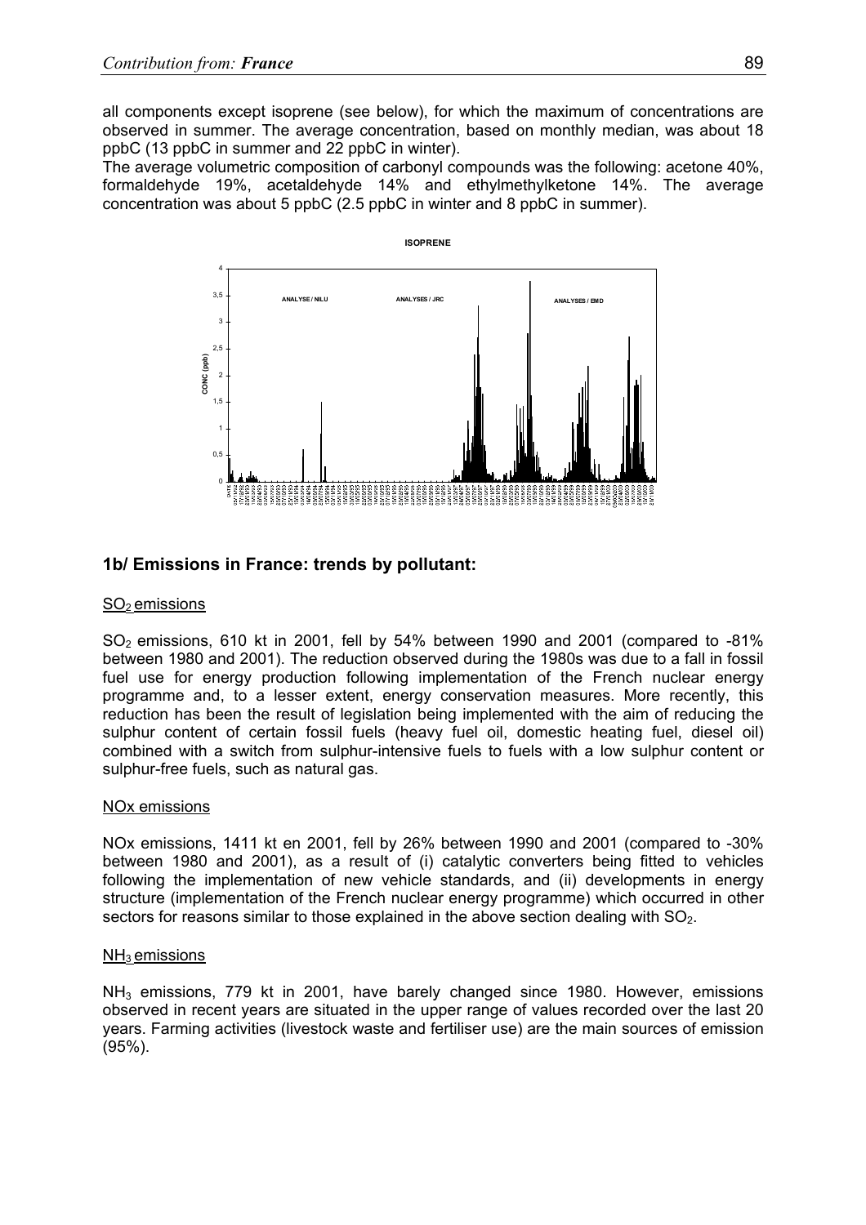all components except isoprene (see below), for which the maximum of concentrations are observed in summer. The average concentration, based on monthly median, was about 18 ppbC (13 ppbC in summer and 22 ppbC in winter).

The average volumetric composition of carbonyl compounds was the following: acetone 40%, formaldehyde 19%, acetaldehyde 14% and ethylmethylketone 14%. The average concentration was about 5 ppbC (2.5 ppbC in winter and 8 ppbC in summer).



# **1b/ Emissions in France: trends by pollutant:**

#### $SO<sub>2</sub>$  emissions

 $SO<sub>2</sub>$  emissions, 610 kt in 2001, fell by 54% between 1990 and 2001 (compared to -81%) between 1980 and 2001). The reduction observed during the 1980s was due to a fall in fossil fuel use for energy production following implementation of the French nuclear energy programme and, to a lesser extent, energy conservation measures. More recently, this reduction has been the result of legislation being implemented with the aim of reducing the sulphur content of certain fossil fuels (heavy fuel oil, domestic heating fuel, diesel oil) combined with a switch from sulphur-intensive fuels to fuels with a low sulphur content or sulphur-free fuels, such as natural gas.

#### NOx emissions

NOx emissions, 1411 kt en 2001, fell by 26% between 1990 and 2001 (compared to -30% between 1980 and 2001), as a result of (i) catalytic converters being fitted to vehicles following the implementation of new vehicle standards, and (ii) developments in energy structure (implementation of the French nuclear energy programme) which occurred in other sectors for reasons similar to those explained in the above section dealing with  $SO_2$ .

#### $NH<sub>3</sub>$  emissions

NH<sub>3</sub> emissions, 779 kt in 2001, have barely changed since 1980. However, emissions observed in recent years are situated in the upper range of values recorded over the last 20 years. Farming activities (livestock waste and fertiliser use) are the main sources of emission (95%).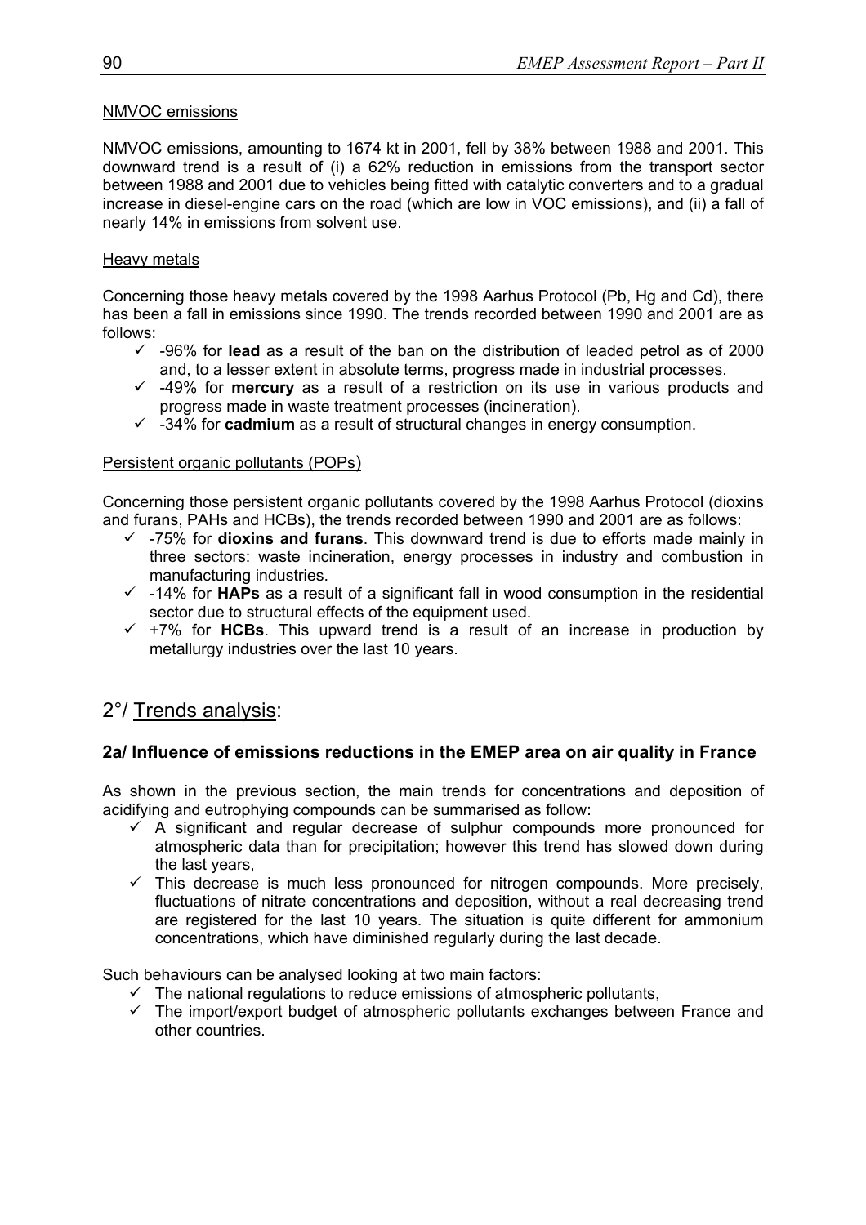## NMVOC emissions

NMVOC emissions, amounting to 1674 kt in 2001, fell by 38% between 1988 and 2001. This downward trend is a result of (i) a 62% reduction in emissions from the transport sector between 1988 and 2001 due to vehicles being fitted with catalytic converters and to a gradual increase in diesel-engine cars on the road (which are low in VOC emissions), and (ii) a fall of nearly 14% in emissions from solvent use.

### Heavy metals

Concerning those heavy metals covered by the 1998 Aarhus Protocol (Pb, Hg and Cd), there has been a fall in emissions since 1990. The trends recorded between 1990 and 2001 are as follows:

- $\sim$  -96% for **lead** as a result of the ban on the distribution of leaded petrol as of 2000 and, to a lesser extent in absolute terms, progress made in industrial processes.
- $\checkmark$  -49% for **mercury** as a result of a restriction on its use in various products and progress made in waste treatment processes (incineration).
- $\checkmark$  -34% for **cadmium** as a result of structural changes in energy consumption.

#### Persistent organic pollutants (POPs)

Concerning those persistent organic pollutants covered by the 1998 Aarhus Protocol (dioxins and furans, PAHs and HCBs), the trends recorded between 1990 and 2001 are as follows:

- 9 -75% for **dioxins and furans**. This downward trend is due to efforts made mainly in three sectors: waste incineration, energy processes in industry and combustion in manufacturing industries.
- $\checkmark$  -14% for **HAPs** as a result of a significant fall in wood consumption in the residential sector due to structural effects of the equipment used.
- $\checkmark$  +7% for HCBs. This upward trend is a result of an increase in production by metallurgy industries over the last 10 years.

# 2°/ Trends analysis:

## **2a/ Influence of emissions reductions in the EMEP area on air quality in France**

As shown in the previous section, the main trends for concentrations and deposition of acidifying and eutrophying compounds can be summarised as follow:

- $\overline{9}$  A significant and regular decrease of sulphur compounds more pronounced for atmospheric data than for precipitation; however this trend has slowed down during the last years,
- $\checkmark$  This decrease is much less pronounced for nitrogen compounds. More precisely, fluctuations of nitrate concentrations and deposition, without a real decreasing trend are registered for the last 10 years. The situation is quite different for ammonium concentrations, which have diminished regularly during the last decade.

Such behaviours can be analysed looking at two main factors:

- $\checkmark$  The national regulations to reduce emissions of atmospheric pollutants,
- $\checkmark$  The import/export budget of atmospheric pollutants exchanges between France and other countries.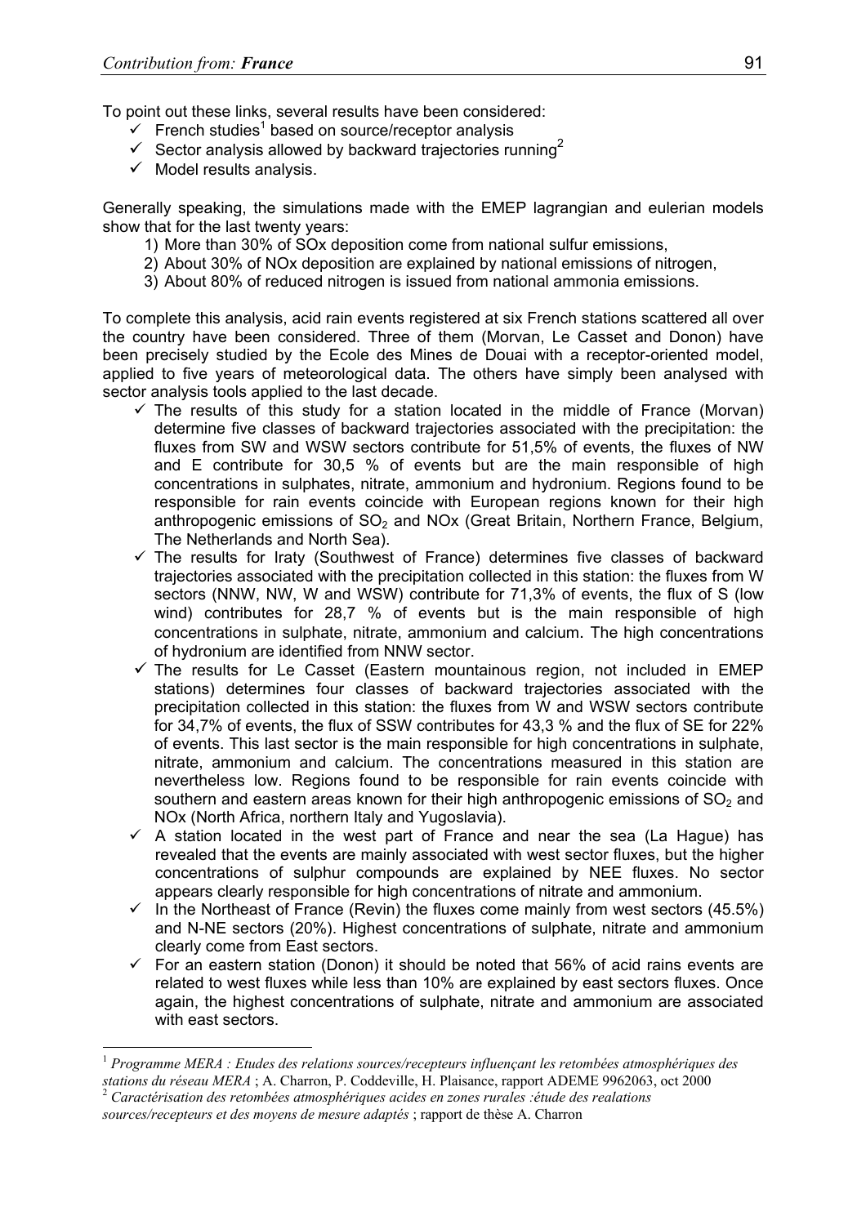To point out these links, several results have been considered:

- $\checkmark$  French studies<sup>1</sup> based on source/receptor analysis
- $\checkmark$  Sector analysis allowed by backward trajectories running<sup>2</sup>
- $\checkmark$  Model results analysis.

Generally speaking, the simulations made with the EMEP lagrangian and eulerian models show that for the last twenty years:

- 1) More than 30% of SOx deposition come from national sulfur emissions,
- 2) About 30% of NOx deposition are explained by national emissions of nitrogen,
- 3) About 80% of reduced nitrogen is issued from national ammonia emissions.

To complete this analysis, acid rain events registered at six French stations scattered all over the country have been considered. Three of them (Morvan, Le Casset and Donon) have been precisely studied by the Ecole des Mines de Douai with a receptor-oriented model, applied to five years of meteorological data. The others have simply been analysed with sector analysis tools applied to the last decade.

- $\checkmark$  The results of this study for a station located in the middle of France (Morvan) determine five classes of backward trajectories associated with the precipitation: the fluxes from SW and WSW sectors contribute for 51,5% of events, the fluxes of NW and E contribute for 30,5 % of events but are the main responsible of high concentrations in sulphates, nitrate, ammonium and hydronium. Regions found to be responsible for rain events coincide with European regions known for their high anthropogenic emissions of  $SO<sub>2</sub>$  and NOx (Great Britain, Northern France, Belgium, The Netherlands and North Sea).
- $\checkmark$  The results for Iraty (Southwest of France) determines five classes of backward trajectories associated with the precipitation collected in this station: the fluxes from W sectors (NNW, NW, W and WSW) contribute for 71,3% of events, the flux of S (low wind) contributes for 28,7 % of events but is the main responsible of high concentrations in sulphate, nitrate, ammonium and calcium. The high concentrations of hydronium are identified from NNW sector.
- $\checkmark$  The results for Le Casset (Eastern mountainous region, not included in EMEP stations) determines four classes of backward trajectories associated with the precipitation collected in this station: the fluxes from W and WSW sectors contribute for 34,7% of events, the flux of SSW contributes for 43,3 % and the flux of SE for 22% of events. This last sector is the main responsible for high concentrations in sulphate, nitrate, ammonium and calcium. The concentrations measured in this station are nevertheless low. Regions found to be responsible for rain events coincide with southern and eastern areas known for their high anthropogenic emissions of  $SO<sub>2</sub>$  and NOx (North Africa, northern Italy and Yugoslavia).
- $\checkmark$  A station located in the west part of France and near the sea (La Hague) has revealed that the events are mainly associated with west sector fluxes, but the higher concentrations of sulphur compounds are explained by NEE fluxes. No sector appears clearly responsible for high concentrations of nitrate and ammonium.
- $\checkmark$  In the Northeast of France (Revin) the fluxes come mainly from west sectors (45.5%) and N-NE sectors (20%). Highest concentrations of sulphate, nitrate and ammonium clearly come from East sectors.
- $\checkmark$  For an eastern station (Donon) it should be noted that 56% of acid rains events are related to west fluxes while less than 10% are explained by east sectors fluxes. Once again, the highest concentrations of sulphate, nitrate and ammonium are associated with east sectors.

l

<sup>1</sup> *Programme MERA : Etudes des relations sources/recepteurs influençant les retombées atmosphériques des stations du réseau MERA* ; A. Charron, P. Coddeville, H. Plaisance, rapport ADEME 9962063, oct 2000 <sup>2</sup> Caractérisation des retombées atmosphériques acides en zones rurales :étude des realations

*sources/recepteurs et des moyens de mesure adaptés* ; rapport de thèse A. Charron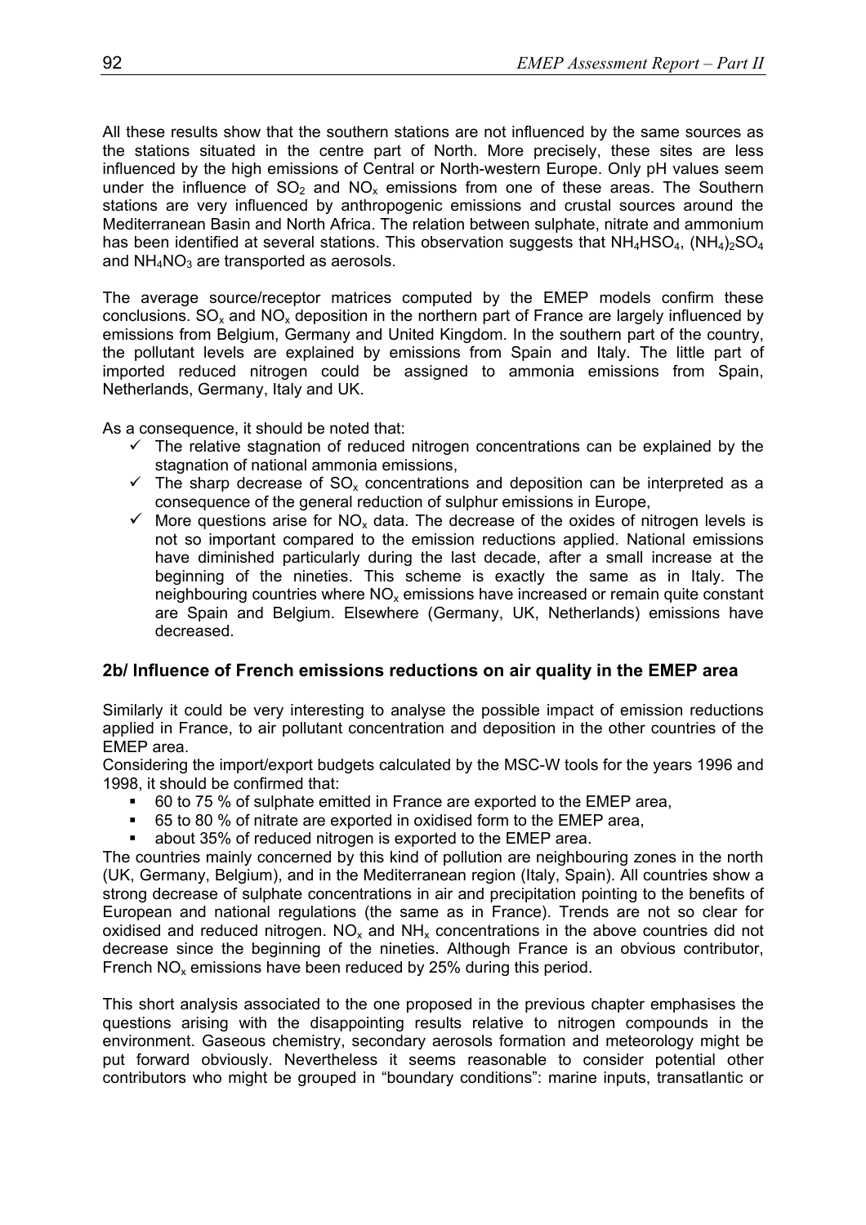All these results show that the southern stations are not influenced by the same sources as the stations situated in the centre part of North. More precisely, these sites are less influenced by the high emissions of Central or North-western Europe. Only pH values seem under the influence of  $SO<sub>2</sub>$  and  $NO<sub>x</sub>$  emissions from one of these areas. The Southern stations are very influenced by anthropogenic emissions and crustal sources around the Mediterranean Basin and North Africa. The relation between sulphate, nitrate and ammonium has been identified at several stations. This observation suggests that  $NH_4HSO_4$ ,  $(NH_4)_2SO_4$ and  $NH<sub>4</sub>NO<sub>3</sub>$  are transported as aerosols.

The average source/receptor matrices computed by the EMEP models confirm these conclusions.  $SO_x$  and  $NO_x$  deposition in the northern part of France are largely influenced by emissions from Belgium, Germany and United Kingdom. In the southern part of the country, the pollutant levels are explained by emissions from Spain and Italy. The little part of imported reduced nitrogen could be assigned to ammonia emissions from Spain, Netherlands, Germany, Italy and UK.

As a consequence, it should be noted that:

- $\checkmark$  The relative stagnation of reduced nitrogen concentrations can be explained by the stagnation of national ammonia emissions,
- $\leq$  The sharp decrease of SO<sub>x</sub> concentrations and deposition can be interpreted as a consequence of the general reduction of sulphur emissions in Europe,
- $\checkmark$  More questions arise for NO<sub>x</sub> data. The decrease of the oxides of nitrogen levels is not so important compared to the emission reductions applied. National emissions have diminished particularly during the last decade, after a small increase at the beginning of the nineties. This scheme is exactly the same as in Italy. The neighbouring countries where  $NO<sub>x</sub>$  emissions have increased or remain quite constant are Spain and Belgium. Elsewhere (Germany, UK, Netherlands) emissions have decreased.

# **2b/ Influence of French emissions reductions on air quality in the EMEP area**

Similarly it could be very interesting to analyse the possible impact of emission reductions applied in France, to air pollutant concentration and deposition in the other countries of the EMEP area.

Considering the import/export budgets calculated by the MSC-W tools for the years 1996 and 1998, it should be confirmed that:

- 60 to 75 % of sulphate emitted in France are exported to the EMEP area,
- 65 to 80 % of nitrate are exported in oxidised form to the EMEP area,
- about 35% of reduced nitrogen is exported to the EMEP area.

The countries mainly concerned by this kind of pollution are neighbouring zones in the north (UK, Germany, Belgium), and in the Mediterranean region (Italy, Spain). All countries show a strong decrease of sulphate concentrations in air and precipitation pointing to the benefits of European and national regulations (the same as in France). Trends are not so clear for oxidised and reduced nitrogen.  $NO<sub>x</sub>$  and  $NH<sub>x</sub>$  concentrations in the above countries did not decrease since the beginning of the nineties. Although France is an obvious contributor, French  $NO<sub>x</sub>$  emissions have been reduced by 25% during this period.

This short analysis associated to the one proposed in the previous chapter emphasises the questions arising with the disappointing results relative to nitrogen compounds in the environment. Gaseous chemistry, secondary aerosols formation and meteorology might be put forward obviously. Nevertheless it seems reasonable to consider potential other contributors who might be grouped in "boundary conditions": marine inputs, transatlantic or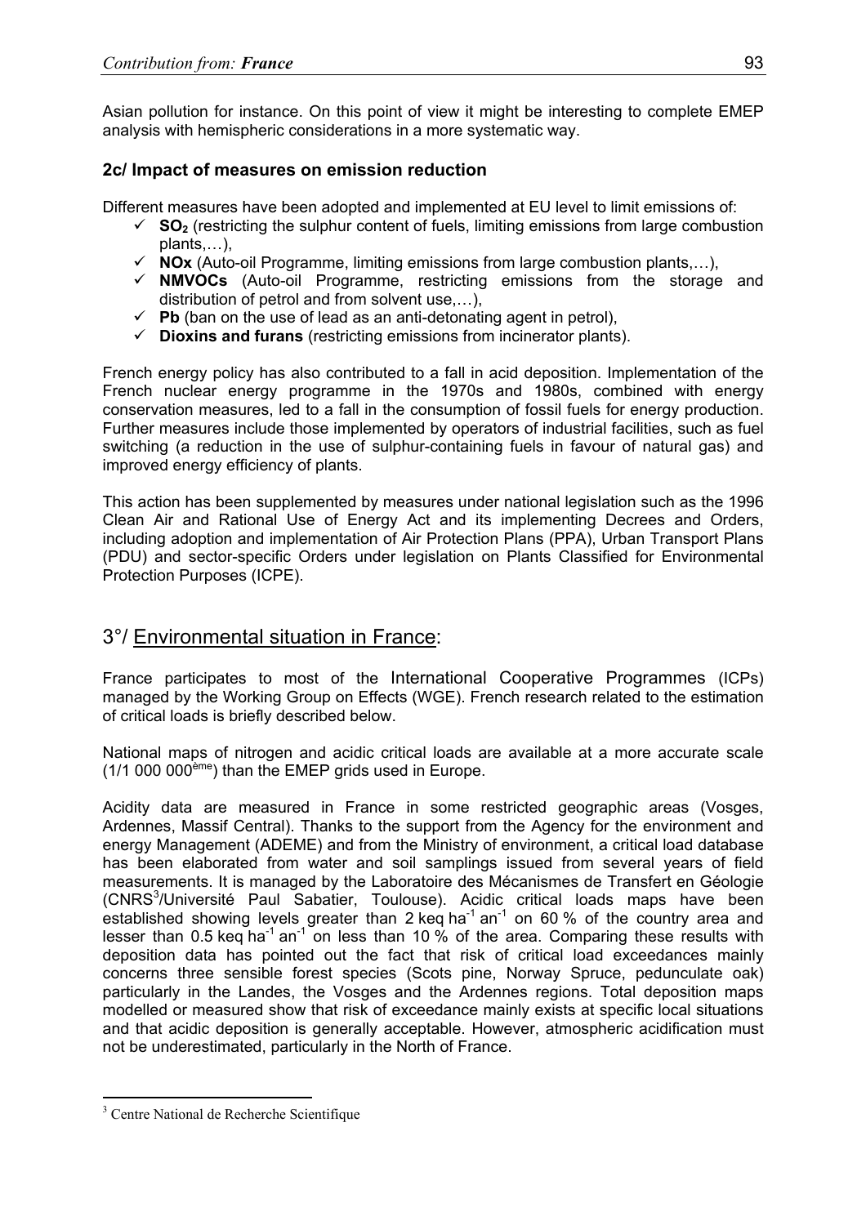Asian pollution for instance. On this point of view it might be interesting to complete EMEP analysis with hemispheric considerations in a more systematic way.

# **2c/ Impact of measures on emission reduction**

Different measures have been adopted and implemented at EU level to limit emissions of:

- $\checkmark$  **SO**<sub>2</sub> (restricting the sulphur content of fuels, limiting emissions from large combustion plants,…),
- $\checkmark$  **NOx** (Auto-oil Programme, limiting emissions from large combustion plants,...),
- 9 **NMVOCs** (Auto-oil Programme, restricting emissions from the storage and distribution of petrol and from solvent use,…),
- $\checkmark$  Pb (ban on the use of lead as an anti-detonating agent in petrol),
- $\checkmark$  **Dioxins and furans** (restricting emissions from incinerator plants).

French energy policy has also contributed to a fall in acid deposition. Implementation of the French nuclear energy programme in the 1970s and 1980s, combined with energy conservation measures, led to a fall in the consumption of fossil fuels for energy production. Further measures include those implemented by operators of industrial facilities, such as fuel switching (a reduction in the use of sulphur-containing fuels in favour of natural gas) and improved energy efficiency of plants.

This action has been supplemented by measures under national legislation such as the 1996 Clean Air and Rational Use of Energy Act and its implementing Decrees and Orders, including adoption and implementation of Air Protection Plans (PPA), Urban Transport Plans (PDU) and sector-specific Orders under legislation on Plants Classified for Environmental Protection Purposes (ICPE).

# 3°/ Environmental situation in France:

France participates to most of the International Cooperative Programmes (ICPs) managed by the Working Group on Effects (WGE). French research related to the estimation of critical loads is briefly described below.

National maps of nitrogen and acidic critical loads are available at a more accurate scale (1/1 000 000ème) than the EMEP grids used in Europe.

Acidity data are measured in France in some restricted geographic areas (Vosges, Ardennes, Massif Central). Thanks to the support from the Agency for the environment and energy Management (ADEME) and from the Ministry of environment, a critical load database has been elaborated from water and soil samplings issued from several years of field measurements. It is managed by the Laboratoire des Mécanismes de Transfert en Géologie (CNRS<sup>3</sup>/Université Paul Sabatier, Toulouse). Acidic critical loads maps have been established showing levels greater than 2 keg ha<sup>-1</sup> an<sup>-1</sup> on 60 % of the country area and lesser than 0.5 keq ha<sup>-1</sup> an<sup>-1</sup> on less than 10 % of the area. Comparing these results with deposition data has pointed out the fact that risk of critical load exceedances mainly concerns three sensible forest species (Scots pine, Norway Spruce, pedunculate oak) particularly in the Landes, the Vosges and the Ardennes regions. Total deposition maps modelled or measured show that risk of exceedance mainly exists at specific local situations and that acidic deposition is generally acceptable. However, atmospheric acidification must not be underestimated, particularly in the North of France.

 $\overline{a}$ 

<sup>&</sup>lt;sup>3</sup> Centre National de Recherche Scientifique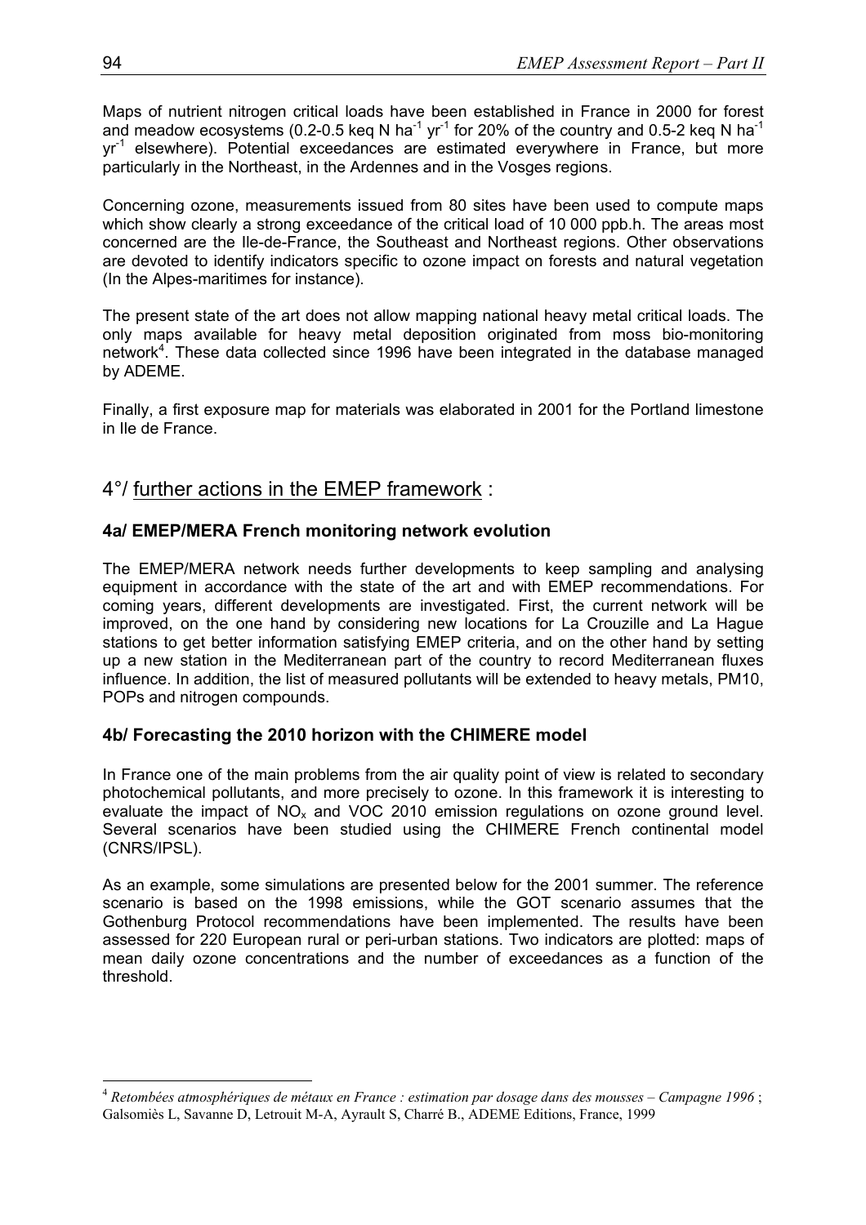Maps of nutrient nitrogen critical loads have been established in France in 2000 for forest and meadow ecosystems (0.2-0.5 keq N ha<sup>-1</sup> yr<sup>-1</sup> for 20% of the country and 0.5-2 keq N ha<sup>-1</sup> yr<sup>-1</sup> elsewhere). Potential exceedances are estimated everywhere in France, but more particularly in the Northeast, in the Ardennes and in the Vosges regions.

Concerning ozone, measurements issued from 80 sites have been used to compute maps which show clearly a strong exceedance of the critical load of 10 000 ppb.h. The areas most concerned are the Ile-de-France, the Southeast and Northeast regions. Other observations are devoted to identify indicators specific to ozone impact on forests and natural vegetation (In the Alpes-maritimes for instance).

The present state of the art does not allow mapping national heavy metal critical loads. The only maps available for heavy metal deposition originated from moss bio-monitoring network<sup>4</sup>. These data collected since 1996 have been integrated in the database managed by ADEME.

Finally, a first exposure map for materials was elaborated in 2001 for the Portland limestone in Ile de France.

# 4°/ further actions in the EMEP framework :

# **4a/ EMEP/MERA French monitoring network evolution**

The EMEP/MERA network needs further developments to keep sampling and analysing equipment in accordance with the state of the art and with EMEP recommendations. For coming years, different developments are investigated. First, the current network will be improved, on the one hand by considering new locations for La Crouzille and La Hague stations to get better information satisfying EMEP criteria, and on the other hand by setting up a new station in the Mediterranean part of the country to record Mediterranean fluxes influence. In addition, the list of measured pollutants will be extended to heavy metals, PM10, POPs and nitrogen compounds.

# **4b/ Forecasting the 2010 horizon with the CHIMERE model**

In France one of the main problems from the air quality point of view is related to secondary photochemical pollutants, and more precisely to ozone. In this framework it is interesting to evaluate the impact of  $NO<sub>x</sub>$  and VOC 2010 emission regulations on ozone ground level. Several scenarios have been studied using the CHIMERE French continental model (CNRS/IPSL).

As an example, some simulations are presented below for the 2001 summer. The reference scenario is based on the 1998 emissions, while the GOT scenario assumes that the Gothenburg Protocol recommendations have been implemented. The results have been assessed for 220 European rural or peri-urban stations. Two indicators are plotted: maps of mean daily ozone concentrations and the number of exceedances as a function of the threshold.

l

<sup>4</sup> *Retombées atmosphériques de métaux en France : estimation par dosage dans des mousses – Campagne 1996* ; Galsomiès L, Savanne D, Letrouit M-A, Ayrault S, Charré B., ADEME Editions, France, 1999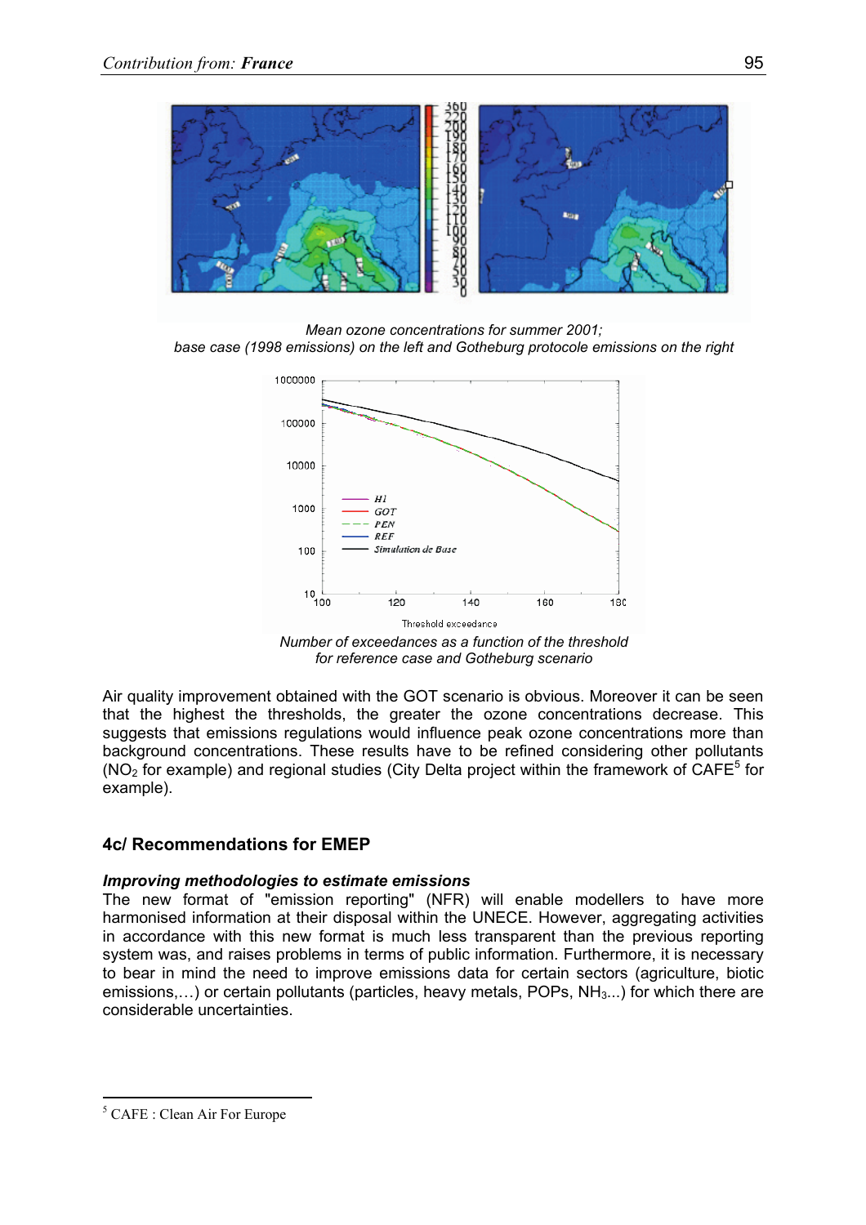

*Mean ozone concentrations for summer 2001; base case (1998 emissions) on the left and Gotheburg protocole emissions on the right*



*Number of exceedances as a function of the threshold for reference case and Gotheburg scenario* 

Air quality improvement obtained with the GOT scenario is obvious. Moreover it can be seen that the highest the thresholds, the greater the ozone concentrations decrease. This suggests that emissions regulations would influence peak ozone concentrations more than background concentrations. These results have to be refined considering other pollutants  $(NO<sub>2</sub>$  for example) and regional studies (City Delta project within the framework of CAFE<sup>5</sup> for example).

# **4c/ Recommendations for EMEP**

## *Improving methodologies to estimate emissions*

The new format of "emission reporting" (NFR) will enable modellers to have more harmonised information at their disposal within the UNECE. However, aggregating activities in accordance with this new format is much less transparent than the previous reporting system was, and raises problems in terms of public information. Furthermore, it is necessary to bear in mind the need to improve emissions data for certain sectors (agriculture, biotic emissions,...) or certain pollutants (particles, heavy metals, POPs,  $NH<sub>3</sub>$ ...) for which there are considerable uncertainties.

 $\overline{a}$ 

<sup>5</sup> CAFE : Clean Air For Europe